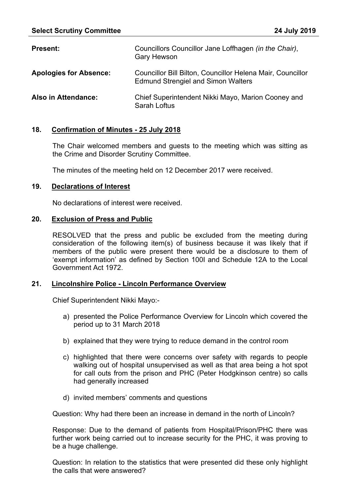| <b>Present:</b>               | Councillors Councillor Jane Loffhagen (in the Chair),<br><b>Gary Hewson</b>                                    |
|-------------------------------|----------------------------------------------------------------------------------------------------------------|
| <b>Apologies for Absence:</b> | <b>Councillor Bill Bilton, Councillor Helena Mair, Councillor</b><br><b>Edmund Strengiel and Simon Walters</b> |
| <b>Also in Attendance:</b>    | Chief Superintendent Nikki Mayo, Marion Cooney and<br>Sarah Loftus                                             |

### **18. Confirmation of Minutes - 25 July 2018**

The Chair welcomed members and guests to the meeting which was sitting as the Crime and Disorder Scrutiny Committee.

The minutes of the meeting held on 12 December 2017 were received.

#### **19. Declarations of Interest**

No declarations of interest were received.

#### **20. Exclusion of Press and Public**

RESOLVED that the press and public be excluded from the meeting during consideration of the following item(s) of business because it was likely that if members of the public were present there would be a disclosure to them of 'exempt information' as defined by Section 100I and Schedule 12A to the Local Government Act 1972.

### **21. Lincolnshire Police - Lincoln Performance Overview**

Chief Superintendent Nikki Mayo:-

- a) presented the Police Performance Overview for Lincoln which covered the period up to 31 March 2018
- b) explained that they were trying to reduce demand in the control room
- c) highlighted that there were concerns over safety with regards to people walking out of hospital unsupervised as well as that area being a hot spot for call outs from the prison and PHC (Peter Hodgkinson centre) so calls had generally increased
- d) invited members' comments and questions

Question: Why had there been an increase in demand in the north of Lincoln?

Response: Due to the demand of patients from Hospital/Prison/PHC there was further work being carried out to increase security for the PHC, it was proving to be a huge challenge.

Question: In relation to the statistics that were presented did these only highlight the calls that were answered?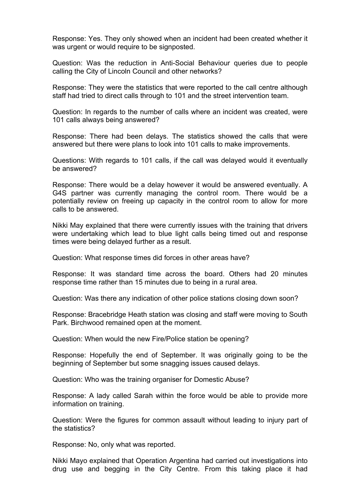Response: Yes. They only showed when an incident had been created whether it was urgent or would require to be signposted.

Question: Was the reduction in Anti-Social Behaviour queries due to people calling the City of Lincoln Council and other networks?

Response: They were the statistics that were reported to the call centre although staff had tried to direct calls through to 101 and the street intervention team.

Question: In regards to the number of calls where an incident was created, were 101 calls always being answered?

Response: There had been delays. The statistics showed the calls that were answered but there were plans to look into 101 calls to make improvements.

Questions: With regards to 101 calls, if the call was delayed would it eventually be answered?

Response: There would be a delay however it would be answered eventually. A G4S partner was currently managing the control room. There would be a potentially review on freeing up capacity in the control room to allow for more calls to be answered.

Nikki May explained that there were currently issues with the training that drivers were undertaking which lead to blue light calls being timed out and response times were being delayed further as a result.

Question: What response times did forces in other areas have?

Response: It was standard time across the board. Others had 20 minutes response time rather than 15 minutes due to being in a rural area.

Question: Was there any indication of other police stations closing down soon?

Response: Bracebridge Heath station was closing and staff were moving to South Park. Birchwood remained open at the moment.

Question: When would the new Fire/Police station be opening?

Response: Hopefully the end of September. It was originally going to be the beginning of September but some snagging issues caused delays.

Question: Who was the training organiser for Domestic Abuse?

Response: A lady called Sarah within the force would be able to provide more information on training.

Question: Were the figures for common assault without leading to injury part of the statistics?

Response: No, only what was reported.

Nikki Mayo explained that Operation Argentina had carried out investigations into drug use and begging in the City Centre. From this taking place it had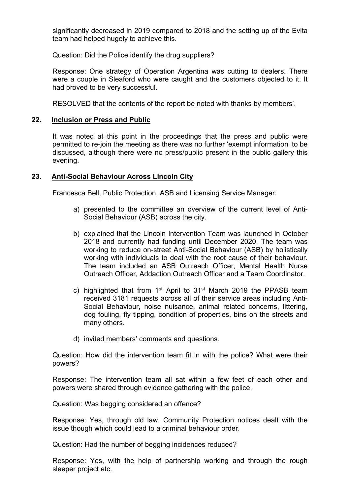significantly decreased in 2019 compared to 2018 and the setting up of the Evita team had helped hugely to achieve this.

Question: Did the Police identify the drug suppliers?

Response: One strategy of Operation Argentina was cutting to dealers. There were a couple in Sleaford who were caught and the customers objected to it. It had proved to be very successful.

RESOLVED that the contents of the report be noted with thanks by members'.

### **22. Inclusion or Press and Public**

It was noted at this point in the proceedings that the press and public were permitted to re-join the meeting as there was no further 'exempt information' to be discussed, although there were no press/public present in the public gallery this evening.

## **23. Anti-Social Behaviour Across Lincoln City**

Francesca Bell, Public Protection, ASB and Licensing Service Manager:

- a) presented to the committee an overview of the current level of Anti-Social Behaviour (ASB) across the city.
- b) explained that the Lincoln Intervention Team was launched in October 2018 and currently had funding until December 2020. The team was working to reduce on-street Anti-Social Behaviour (ASB) by holistically working with individuals to deal with the root cause of their behaviour. The team included an ASB Outreach Officer, Mental Health Nurse Outreach Officer, Addaction Outreach Officer and a Team Coordinator.
- c) highlighted that from 1<sup>st</sup> April to 31<sup>st</sup> March 2019 the PPASB team received 3181 requests across all of their service areas including Anti-Social Behaviour, noise nuisance, animal related concerns, littering, dog fouling, fly tipping, condition of properties, bins on the streets and many others.
- d) invited members' comments and questions.

Question: How did the intervention team fit in with the police? What were their powers?

Response: The intervention team all sat within a few feet of each other and powers were shared through evidence gathering with the police.

Question: Was begging considered an offence?

Response: Yes, through old law. Community Protection notices dealt with the issue though which could lead to a criminal behaviour order.

Question: Had the number of begging incidences reduced?

Response: Yes, with the help of partnership working and through the rough sleeper project etc.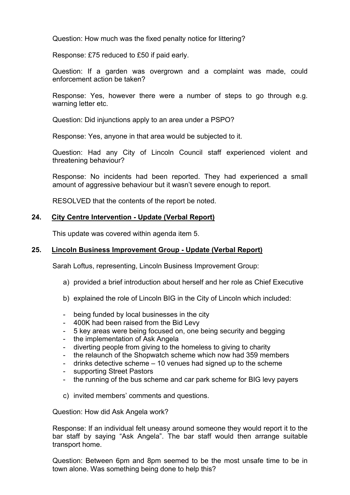Question: How much was the fixed penalty notice for littering?

Response: £75 reduced to £50 if paid early.

Question: If a garden was overgrown and a complaint was made, could enforcement action be taken?

Response: Yes, however there were a number of steps to go through e.g. warning letter etc.

Question: Did injunctions apply to an area under a PSPO?

Response: Yes, anyone in that area would be subjected to it.

Question: Had any City of Lincoln Council staff experienced violent and threatening behaviour?

Response: No incidents had been reported. They had experienced a small amount of aggressive behaviour but it wasn't severe enough to report.

RESOLVED that the contents of the report be noted.

## **24. City Centre Intervention - Update (Verbal Report)**

This update was covered within agenda item 5.

# **25. Lincoln Business Improvement Group - Update (Verbal Report)**

Sarah Loftus, representing, Lincoln Business Improvement Group:

- a) provided a brief introduction about herself and her role as Chief Executive
- b) explained the role of Lincoln BIG in the City of Lincoln which included:
- being funded by local businesses in the city
- 400K had been raised from the Bid Levy
- 5 key areas were being focused on, one being security and begging
- the implementation of Ask Angela
- diverting people from giving to the homeless to giving to charity
- the relaunch of the Shopwatch scheme which now had 359 members
- drinks detective scheme 10 venues had signed up to the scheme
- supporting Street Pastors
- the running of the bus scheme and car park scheme for BIG levy payers
- c) invited members' comments and questions.

Question: How did Ask Angela work?

Response: If an individual felt uneasy around someone they would report it to the bar staff by saying "Ask Angela". The bar staff would then arrange suitable transport home.

Question: Between 6pm and 8pm seemed to be the most unsafe time to be in town alone. Was something being done to help this?